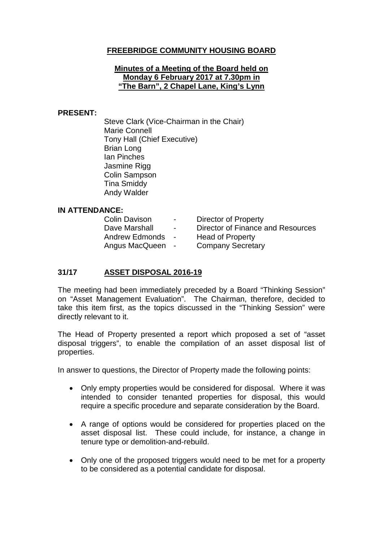# **FREEBRIDGE COMMUNITY HOUSING BOARD**

#### **Minutes of a Meeting of the Board held on Monday 6 February 2017 at 7.30pm in "The Barn", 2 Chapel Lane, King's Lynn**

#### **PRESENT:**

Steve Clark (Vice-Chairman in the Chair) Marie Connell Tony Hall (Chief Executive) Brian Long Ian Pinches Jasmine Rigg Colin Sampson Tina Smiddy Andy Walder

### **IN ATTENDANCE:**

| <b>Colin Davison</b>  | $\sim$         | Director of Property              |
|-----------------------|----------------|-----------------------------------|
| Dave Marshall         | $\sim$         | Director of Finance and Resources |
| <b>Andrew Edmonds</b> | $\blacksquare$ | <b>Head of Property</b>           |
| Angus MacQueen        | $\sim$         | <b>Company Secretary</b>          |
|                       |                |                                   |

### **31/17 ASSET DISPOSAL 2016-19**

The meeting had been immediately preceded by a Board "Thinking Session" on "Asset Management Evaluation". The Chairman, therefore, decided to take this item first, as the topics discussed in the "Thinking Session" were directly relevant to it.

The Head of Property presented a report which proposed a set of "asset disposal triggers", to enable the compilation of an asset disposal list of properties.

In answer to questions, the Director of Property made the following points:

- Only empty properties would be considered for disposal. Where it was intended to consider tenanted properties for disposal, this would require a specific procedure and separate consideration by the Board.
- A range of options would be considered for properties placed on the asset disposal list. These could include, for instance, a change in tenure type or demolition-and-rebuild.
- Only one of the proposed triggers would need to be met for a property to be considered as a potential candidate for disposal.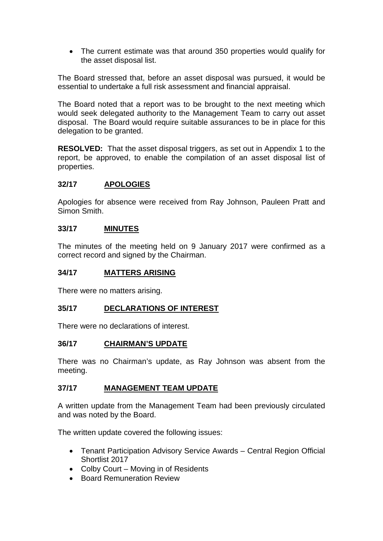• The current estimate was that around 350 properties would qualify for the asset disposal list.

The Board stressed that, before an asset disposal was pursued, it would be essential to undertake a full risk assessment and financial appraisal.

The Board noted that a report was to be brought to the next meeting which would seek delegated authority to the Management Team to carry out asset disposal. The Board would require suitable assurances to be in place for this delegation to be granted.

**RESOLVED:** That the asset disposal triggers, as set out in Appendix 1 to the report, be approved, to enable the compilation of an asset disposal list of properties.

### **32/17 APOLOGIES**

Apologies for absence were received from Ray Johnson, Pauleen Pratt and Simon Smith.

### **33/17 MINUTES**

The minutes of the meeting held on 9 January 2017 were confirmed as a correct record and signed by the Chairman.

#### **34/17 MATTERS ARISING**

There were no matters arising.

### **35/17 DECLARATIONS OF INTEREST**

There were no declarations of interest.

### **36/17 CHAIRMAN'S UPDATE**

There was no Chairman's update, as Ray Johnson was absent from the meeting.

### **37/17 MANAGEMENT TEAM UPDATE**

A written update from the Management Team had been previously circulated and was noted by the Board.

The written update covered the following issues:

- Tenant Participation Advisory Service Awards Central Region Official Shortlist 2017
- Colby Court Moving in of Residents
- Board Remuneration Review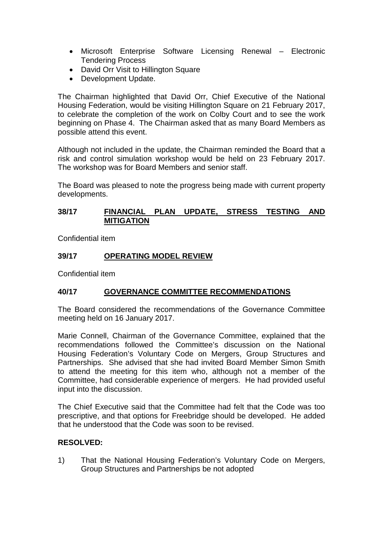- Microsoft Enterprise Software Licensing Renewal Electronic Tendering Process
- David Orr Visit to Hillington Square
- Development Update.

The Chairman highlighted that David Orr, Chief Executive of the National Housing Federation, would be visiting Hillington Square on 21 February 2017, to celebrate the completion of the work on Colby Court and to see the work beginning on Phase 4. The Chairman asked that as many Board Members as possible attend this event.

Although not included in the update, the Chairman reminded the Board that a risk and control simulation workshop would be held on 23 February 2017. The workshop was for Board Members and senior staff.

The Board was pleased to note the progress being made with current property developments.

### **38/17 FINANCIAL PLAN UPDATE, STRESS TESTING AND MITIGATION**

Confidential item

### **39/17 OPERATING MODEL REVIEW**

Confidential item

### **40/17 GOVERNANCE COMMITTEE RECOMMENDATIONS**

The Board considered the recommendations of the Governance Committee meeting held on 16 January 2017.

Marie Connell, Chairman of the Governance Committee, explained that the recommendations followed the Committee's discussion on the National Housing Federation's Voluntary Code on Mergers, Group Structures and Partnerships. She advised that she had invited Board Member Simon Smith to attend the meeting for this item who, although not a member of the Committee, had considerable experience of mergers. He had provided useful input into the discussion.

The Chief Executive said that the Committee had felt that the Code was too prescriptive, and that options for Freebridge should be developed. He added that he understood that the Code was soon to be revised.

### **RESOLVED:**

1) That the National Housing Federation's Voluntary Code on Mergers, Group Structures and Partnerships be not adopted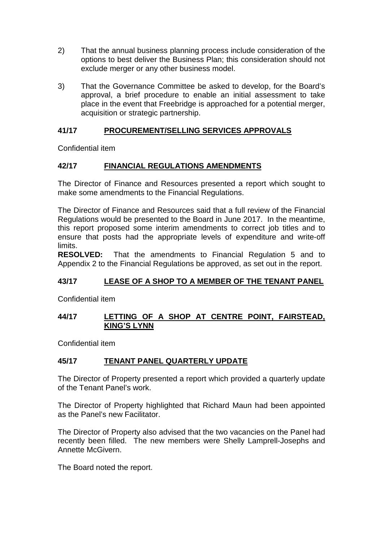- 2) That the annual business planning process include consideration of the options to best deliver the Business Plan; this consideration should not exclude merger or any other business model.
- 3) That the Governance Committee be asked to develop, for the Board's approval, a brief procedure to enable an initial assessment to take place in the event that Freebridge is approached for a potential merger, acquisition or strategic partnership.

# **41/17 PROCUREMENT/SELLING SERVICES APPROVALS**

Confidential item

# **42/17 FINANCIAL REGULATIONS AMENDMENTS**

The Director of Finance and Resources presented a report which sought to make some amendments to the Financial Regulations.

The Director of Finance and Resources said that a full review of the Financial Regulations would be presented to the Board in June 2017. In the meantime, this report proposed some interim amendments to correct job titles and to ensure that posts had the appropriate levels of expenditure and write-off limits.

**RESOLVED:** That the amendments to Financial Regulation 5 and to Appendix 2 to the Financial Regulations be approved, as set out in the report.

# **43/17 LEASE OF A SHOP TO A MEMBER OF THE TENANT PANEL**

Confidential item

### **44/17 LETTING OF A SHOP AT CENTRE POINT, FAIRSTEAD, KING'S LYNN**

Confidential item

### **45/17 TENANT PANEL QUARTERLY UPDATE**

The Director of Property presented a report which provided a quarterly update of the Tenant Panel's work.

The Director of Property highlighted that Richard Maun had been appointed as the Panel's new Facilitator.

The Director of Property also advised that the two vacancies on the Panel had recently been filled. The new members were Shelly Lamprell-Josephs and Annette McGivern.

The Board noted the report.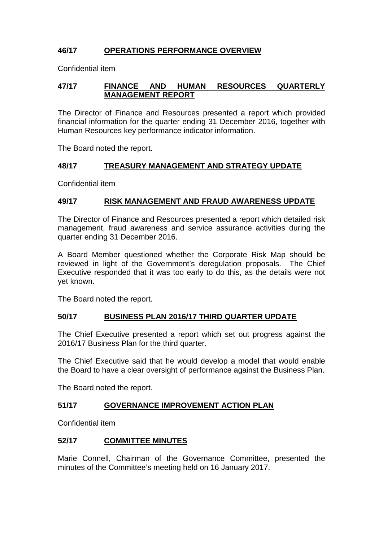# **46/17 OPERATIONS PERFORMANCE OVERVIEW**

Confidential item

### **47/17 FINANCE AND HUMAN RESOURCES QUARTERLY MANAGEMENT REPORT**

The Director of Finance and Resources presented a report which provided financial information for the quarter ending 31 December 2016, together with Human Resources key performance indicator information.

The Board noted the report.

### **48/17 TREASURY MANAGEMENT AND STRATEGY UPDATE**

Confidential item

### **49/17 RISK MANAGEMENT AND FRAUD AWARENESS UPDATE**

The Director of Finance and Resources presented a report which detailed risk management, fraud awareness and service assurance activities during the quarter ending 31 December 2016.

A Board Member questioned whether the Corporate Risk Map should be reviewed in light of the Government's deregulation proposals. The Chief Executive responded that it was too early to do this, as the details were not yet known.

The Board noted the report.

### **50/17 BUSINESS PLAN 2016/17 THIRD QUARTER UPDATE**

The Chief Executive presented a report which set out progress against the 2016/17 Business Plan for the third quarter.

The Chief Executive said that he would develop a model that would enable the Board to have a clear oversight of performance against the Business Plan.

The Board noted the report.

### **51/17 GOVERNANCE IMPROVEMENT ACTION PLAN**

Confidential item

# **52/17 COMMITTEE MINUTES**

Marie Connell, Chairman of the Governance Committee, presented the minutes of the Committee's meeting held on 16 January 2017.